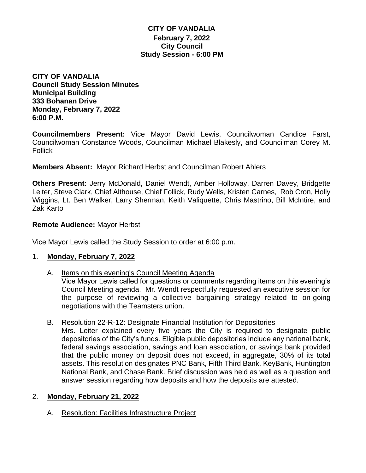# **CITY OF VANDALIA February 7, 2022 City Council Study Session - 6:00 PM**

**CITY OF VANDALIA Council Study Session Minutes Municipal Building 333 Bohanan Drive Monday, February 7, 2022 6:00 P.M.**

**Councilmembers Present:** Vice Mayor David Lewis, Councilwoman Candice Farst, Councilwoman Constance Woods, Councilman Michael Blakesly, and Councilman Corey M. Follick

**Members Absent:** Mayor Richard Herbst and Councilman Robert Ahlers

**Others Present:** Jerry McDonald, Daniel Wendt, Amber Holloway, Darren Davey, Bridgette Leiter, Steve Clark, Chief Althouse, Chief Follick, Rudy Wells, Kristen Carnes, Rob Cron, Holly Wiggins, Lt. Ben Walker, Larry Sherman, Keith Valiquette, Chris Mastrino, Bill McIntire, and Zak Karto

## **Remote Audience:** Mayor Herbst

Vice Mayor Lewis called the Study Session to order at 6:00 p.m.

## 1. **Monday, February 7, 2022**

A. Items on this evening's Council Meeting Agenda

Vice Mayor Lewis called for questions or comments regarding items on this evening's Council Meeting agenda. Mr. Wendt respectfully requested an executive session for the purpose of reviewing a collective bargaining strategy related to on-going negotiations with the Teamsters union.

B. Resolution 22-R-12: Designate Financial Institution for Depositories

Mrs. Leiter explained every five years the City is required to designate public depositories of the City's funds. Eligible public depositories include any national bank, federal savings association, savings and loan association, or savings bank provided that the public money on deposit does not exceed, in aggregate, 30% of its total assets. This resolution designates PNC Bank, Fifth Third Bank, KeyBank, Huntington National Bank, and Chase Bank. Brief discussion was held as well as a question and answer session regarding how deposits and how the deposits are attested.

## 2. **Monday, February 21, 2022**

A. Resolution: Facilities Infrastructure Project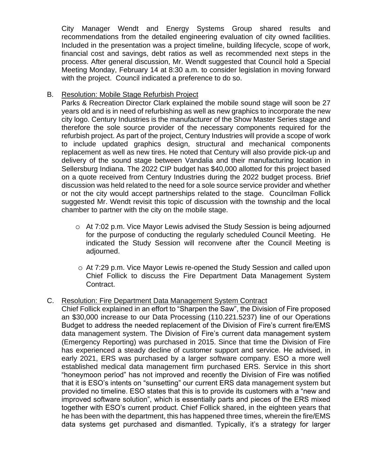City Manager Wendt and Energy Systems Group shared results and recommendations from the detailed engineering evaluation of city owned facilities. Included in the presentation was a project timeline, building lifecycle, scope of work, financial cost and savings, debt ratios as well as recommended next steps in the process. After general discussion, Mr. Wendt suggested that Council hold a Special Meeting Monday, February 14 at 8:30 a.m. to consider legislation in moving forward with the project. Council indicated a preference to do so.

# B. Resolution: Mobile Stage Refurbish Project

Parks & Recreation Director Clark explained the mobile sound stage will soon be 27 years old and is in need of refurbishing as well as new graphics to incorporate the new city logo. Century Industries is the manufacturer of the Show Master Series stage and therefore the sole source provider of the necessary components required for the refurbish project. As part of the project, Century Industries will provide a scope of work to include updated graphics design, structural and mechanical components replacement as well as new tires. He noted that Century will also provide pick-up and delivery of the sound stage between Vandalia and their manufacturing location in Sellersburg Indiana. The 2022 CIP budget has \$40,000 allotted for this project based on a quote received from Century Industries during the 2022 budget process. Brief discussion was held related to the need for a sole source service provider and whether or not the city would accept partnerships related to the stage. Councilman Follick suggested Mr. Wendt revisit this topic of discussion with the township and the local chamber to partner with the city on the mobile stage.

- o At 7:02 p.m. Vice Mayor Lewis advised the Study Session is being adjourned for the purpose of conducting the regularly scheduled Council Meeting. He indicated the Study Session will reconvene after the Council Meeting is adjourned.
- o At 7:29 p.m. Vice Mayor Lewis re-opened the Study Session and called upon Chief Follick to discuss the Fire Department Data Management System Contract.

## C. Resolution: Fire Department Data Management System Contract

Chief Follick explained in an effort to "Sharpen the Saw", the Division of Fire proposed an \$30,000 increase to our Data Processing (110.221.5237) line of our Operations Budget to address the needed replacement of the Division of Fire's current fire/EMS data management system. The Division of Fire's current data management system (Emergency Reporting) was purchased in 2015. Since that time the Division of Fire has experienced a steady decline of customer support and service. He advised, in early 2021, ERS was purchased by a larger software company. ESO a more well established medical data management firm purchased ERS. Service in this short "honeymoon period" has not improved and recently the Division of Fire was notified that it is ESO's intents on "sunsetting" our current ERS data management system but provided no timeline. ESO states that this is to provide its customers with a "new and improved software solution", which is essentially parts and pieces of the ERS mixed together with ESO's current product. Chief Follick shared, in the eighteen years that he has been with the department, this has happened three times, wherein the fire/EMS data systems get purchased and dismantled. Typically, it's a strategy for larger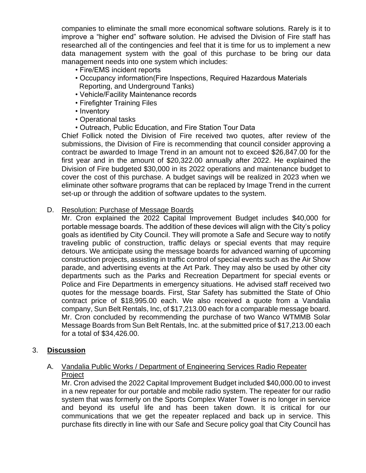companies to eliminate the small more economical software solutions. Rarely is it to improve a "higher end" software solution. He advised the Division of Fire staff has researched all of the contingencies and feel that it is time for us to implement a new data management system with the goal of this purchase to be bring our data management needs into one system which includes:

- Fire/EMS incident reports
- Occupancy information(Fire Inspections, Required Hazardous Materials Reporting, and Underground Tanks)
- Vehicle/Facility Maintenance records
- Firefighter Training Files
- Inventory
- Operational tasks
- Outreach, Public Education, and Fire Station Tour Data

Chief Follick noted the Division of Fire received two quotes, after review of the submissions, the Division of Fire is recommending that council consider approving a contract be awarded to Image Trend in an amount not to exceed \$26,847.00 for the first year and in the amount of \$20,322.00 annually after 2022. He explained the Division of Fire budgeted \$30,000 in its 2022 operations and maintenance budget to cover the cost of this purchase. A budget savings will be realized in 2023 when we eliminate other software programs that can be replaced by Image Trend in the current set-up or through the addition of software updates to the system.

D. Resolution: Purchase of Message Boards

Mr. Cron explained the 2022 Capital Improvement Budget includes \$40,000 for portable message boards. The addition of these devices will align with the City's policy goals as identified by City Council. They will promote a Safe and Secure way to notify traveling public of construction, traffic delays or special events that may require detours. We anticipate using the message boards for advanced warning of upcoming construction projects, assisting in traffic control of special events such as the Air Show parade, and advertising events at the Art Park. They may also be used by other city departments such as the Parks and Recreation Department for special events or Police and Fire Departments in emergency situations. He advised staff received two quotes for the message boards. First, Star Safety has submitted the State of Ohio contract price of \$18,995.00 each. We also received a quote from a Vandalia company, Sun Belt Rentals, Inc, of \$17,213.00 each for a comparable message board. Mr. Cron concluded by recommending the purchase of two Wanco WTMMB Solar Message Boards from Sun Belt Rentals, Inc. at the submitted price of \$17,213.00 each for a total of \$34,426.00.

# 3. **Discussion**

# A. Vandalia Public Works / Department of Engineering Services Radio Repeater Project

Mr. Cron advised the 2022 Capital Improvement Budget included \$40,000.00 to invest in a new repeater for our portable and mobile radio system. The repeater for our radio system that was formerly on the Sports Complex Water Tower is no longer in service and beyond its useful life and has been taken down. It is critical for our communications that we get the repeater replaced and back up in service. This purchase fits directly in line with our Safe and Secure policy goal that City Council has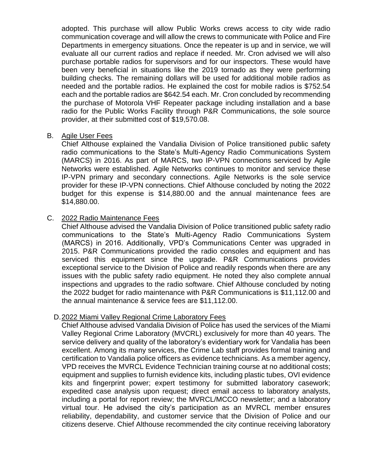adopted. This purchase will allow Public Works crews access to city wide radio communication coverage and will allow the crews to communicate with Police and Fire Departments in emergency situations. Once the repeater is up and in service, we will evaluate all our current radios and replace if needed. Mr. Cron advised we will also purchase portable radios for supervisors and for our inspectors. These would have been very beneficial in situations like the 2019 tornado as they were performing building checks. The remaining dollars will be used for additional mobile radios as needed and the portable radios. He explained the cost for mobile radios is \$752.54 each and the portable radios are \$642.54 each. Mr. Cron concluded by recommending the purchase of Motorola VHF Repeater package including installation and a base radio for the Public Works Facility through P&R Communications, the sole source provider, at their submitted cost of \$19,570.08.

#### B. Agile User Fees

Chief Althouse explained the Vandalia Division of Police transitioned public safety radio communications to the State's Multi-Agency Radio Communications System (MARCS) in 2016. As part of MARCS, two IP-VPN connections serviced by Agile Networks were established. Agile Networks continues to monitor and service these IP-VPN primary and secondary connections. Agile Networks is the sole service provider for these IP-VPN connections. Chief Althouse concluded by noting the 2022 budget for this expense is \$14,880.00 and the annual maintenance fees are \$14,880.00.

## C. 2022 Radio Maintenance Fees

Chief Althouse advised the Vandalia Division of Police transitioned public safety radio communications to the State's Multi-Agency Radio Communications System (MARCS) in 2016. Additionally, VPD's Communications Center was upgraded in 2015. P&R Communications provided the radio consoles and equipment and has serviced this equipment since the upgrade. P&R Communications provides exceptional service to the Division of Police and readily responds when there are any issues with the public safety radio equipment. He noted they also complete annual inspections and upgrades to the radio software. Chief Althouse concluded by noting the 2022 budget for radio maintenance with P&R Communications is \$11,112.00 and the annual maintenance & service fees are \$11,112.00.

## D.2022 Miami Valley Regional Crime Laboratory Fees

Chief Althouse advised Vandalia Division of Police has used the services of the Miami Valley Regional Crime Laboratory (MVCRL) exclusively for more than 40 years. The service delivery and quality of the laboratory's evidentiary work for Vandalia has been excellent. Among its many services, the Crime Lab staff provides formal training and certification to Vandalia police officers as evidence technicians. As a member agency, VPD receives the MVRCL Evidence Technician training course at no additional costs; equipment and supplies to furnish evidence kits, including plastic tubes, OVI evidence kits and fingerprint power; expert testimony for submitted laboratory casework; expedited case analysis upon request; direct email access to laboratory analysts, including a portal for report review; the MVRCL/MCCO newsletter; and a laboratory virtual tour. He advised the city's participation as an MVRCL member ensures reliability, dependability, and customer service that the Division of Police and our citizens deserve. Chief Althouse recommended the city continue receiving laboratory